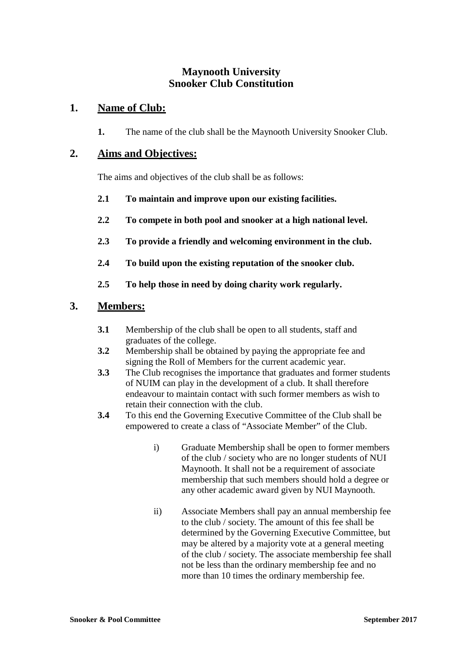## **Maynooth University Snooker Club Constitution**

## **1. Name of Club:**

**1.** The name of the club shall be the Maynooth University Snooker Club.

#### **2. Aims and Objectives:**

The aims and objectives of the club shall be as follows:

- **2.1 To maintain and improve upon our existing facilities.**
- **2.2 To compete in both pool and snooker at a high national level.**
- **2.3 To provide a friendly and welcoming environment in the club.**
- **2.4 To build upon the existing reputation of the snooker club.**
- **2.5 To help those in need by doing charity work regularly.**

### **3. Members:**

- **3.1** Membership of the club shall be open to all students, staff and graduates of the college.
- **3.2** Membership shall be obtained by paying the appropriate fee and signing the Roll of Members for the current academic year.
- **3.3** The Club recognises the importance that graduates and former students of NUIM can play in the development of a club. It shall therefore endeavour to maintain contact with such former members as wish to retain their connection with the club.
- **3.4** To this end the Governing Executive Committee of the Club shall be empowered to create a class of "Associate Member" of the Club.
	- i) Graduate Membership shall be open to former members of the club / society who are no longer students of NUI Maynooth. It shall not be a requirement of associate membership that such members should hold a degree or any other academic award given by NUI Maynooth.
	- ii) Associate Members shall pay an annual membership fee to the club / society. The amount of this fee shall be determined by the Governing Executive Committee, but may be altered by a majority vote at a general meeting of the club / society. The associate membership fee shall not be less than the ordinary membership fee and no more than 10 times the ordinary membership fee.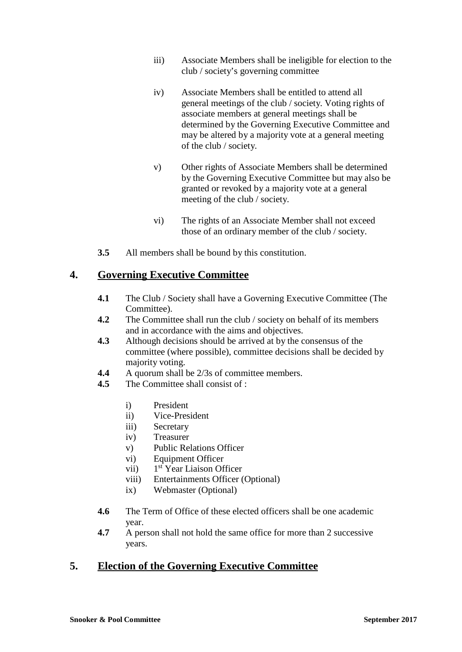- iii) Associate Members shall be ineligible for election to the club / society's governing committee
- iv) Associate Members shall be entitled to attend all general meetings of the club / society. Voting rights of associate members at general meetings shall be determined by the Governing Executive Committee and may be altered by a majority vote at a general meeting of the club / society.
- v) Other rights of Associate Members shall be determined by the Governing Executive Committee but may also be granted or revoked by a majority vote at a general meeting of the club / society.
- vi) The rights of an Associate Member shall not exceed those of an ordinary member of the club / society.
- **3.5** All members shall be bound by this constitution.

### **4. Governing Executive Committee**

- **4.1** The Club / Society shall have a Governing Executive Committee (The Committee).
- **4.2** The Committee shall run the club / society on behalf of its members and in accordance with the aims and objectives.
- **4.3** Although decisions should be arrived at by the consensus of the committee (where possible), committee decisions shall be decided by majority voting.
- **4.4** A quorum shall be 2/3s of committee members.
- **4.5** The Committee shall consist of :
	- i) President
	- ii) Vice-President
	- iii) Secretary
	- iv) Treasurer
	- v) Public Relations Officer
	- vi) Equipment Officer
	- vii) 1 st Year Liaison Officer
	- viii) Entertainments Officer (Optional)
	- ix) Webmaster (Optional)
- **4.6** The Term of Office of these elected officers shall be one academic year.
- **4.7** A person shall not hold the same office for more than 2 successive years.

# **5. Election of the Governing Executive Committee**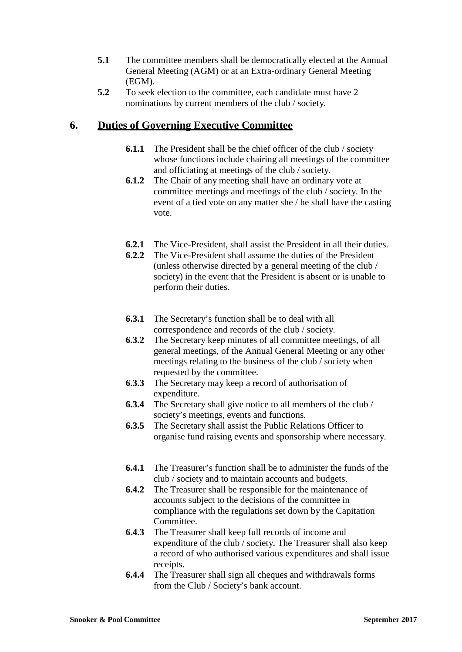- **5.1** The committee members shall be democratically elected at the Annual General Meeting (AGM) or at an Extra-ordinary General Meeting (EGM).
- **5.2** To seek election to the committee, each candidate must have 2 nominations by current members of the club / society.

## **6. Duties of Governing Executive Committee**

- **6.1.1** The President shall be the chief officer of the club / society whose functions include chairing all meetings of the committee and officiating at meetings of the club / society.
- **6.1.2** The Chair of any meeting shall have an ordinary vote at committee meetings and meetings of the club / society. In the event of a tied vote on any matter she / he shall have the casting vote.
- **6.2.1** The Vice-President, shall assist the President in all their duties.
- **6.2.2** The Vice-President shall assume the duties of the President (unless otherwise directed by a general meeting of the club / society) in the event that the President is absent or is unable to perform their duties.
- **6.3.1** The Secretary's function shall be to deal with all correspondence and records of the club / society.
- **6.3.2** The Secretary keep minutes of all committee meetings, of all general meetings, of the Annual General Meeting or any other meetings relating to the business of the club / society when requested by the committee.
- **6.3.3** The Secretary may keep a record of authorisation of expenditure.
- **6.3.4** The Secretary shall give notice to all members of the club / society's meetings, events and functions.
- **6.3.5** The Secretary shall assist the Public Relations Officer to organise fund raising events and sponsorship where necessary.
- **6.4.1** The Treasurer's function shall be to administer the funds of the club / society and to maintain accounts and budgets.
- **6.4.2** The Treasurer shall be responsible for the maintenance of accounts subject to the decisions of the committee in compliance with the regulations set down by the Capitation Committee.
- **6.4.3** The Treasurer shall keep full records of income and expenditure of the club / society. The Treasurer shall also keep a record of who authorised various expenditures and shall issue receipts.
- **6.4.4** The Treasurer shall sign all cheques and withdrawals forms from the Club / Society's bank account.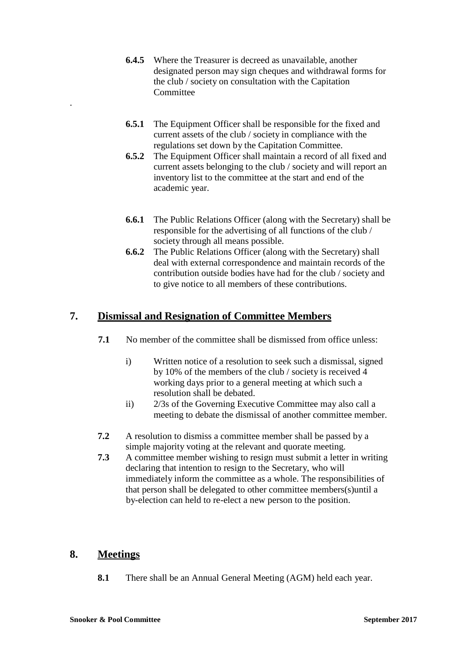- **6.4.5** Where the Treasurer is decreed as unavailable, another designated person may sign cheques and withdrawal forms for the club / society on consultation with the Capitation **Committee**
- **6.5.1** The Equipment Officer shall be responsible for the fixed and current assets of the club / society in compliance with the regulations set down by the Capitation Committee.
- **6.5.2** The Equipment Officer shall maintain a record of all fixed and current assets belonging to the club / society and will report an inventory list to the committee at the start and end of the academic year.
- **6.6.1** The Public Relations Officer (along with the Secretary) shall be responsible for the advertising of all functions of the club / society through all means possible.
- **6.6.2** The Public Relations Officer (along with the Secretary) shall deal with external correspondence and maintain records of the contribution outside bodies have had for the club / society and to give notice to all members of these contributions.

# **7. Dismissal and Resignation of Committee Members**

- **7.1** No member of the committee shall be dismissed from office unless:
	- i) Written notice of a resolution to seek such a dismissal, signed by 10% of the members of the club / society is received 4 working days prior to a general meeting at which such a resolution shall be debated.
	- ii) 2/3s of the Governing Executive Committee may also call a meeting to debate the dismissal of another committee member.
- **7.2** A resolution to dismiss a committee member shall be passed by a simple majority voting at the relevant and quorate meeting.
- **7.3** A committee member wishing to resign must submit a letter in writing declaring that intention to resign to the Secretary, who will immediately inform the committee as a whole. The responsibilities of that person shall be delegated to other committee members(s)until a by-election can held to re-elect a new person to the position.

# **8. Meetings**

.

**8.1** There shall be an Annual General Meeting (AGM) held each year.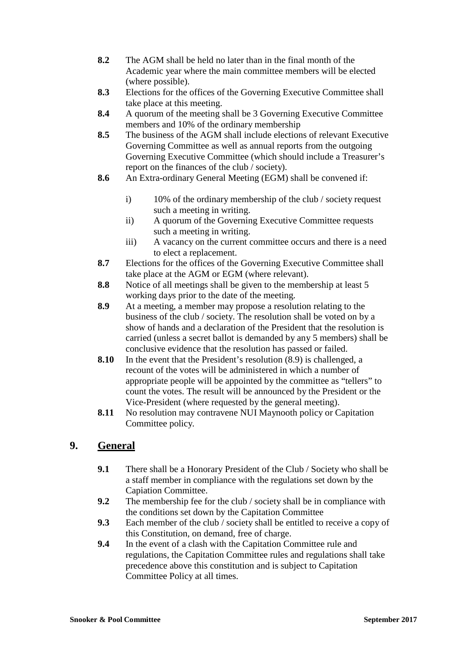- **8.2** The AGM shall be held no later than in the final month of the Academic year where the main committee members will be elected (where possible).
- **8.3** Elections for the offices of the Governing Executive Committee shall take place at this meeting.
- **8.4** A quorum of the meeting shall be 3 Governing Executive Committee members and 10% of the ordinary membership
- **8.5** The business of the AGM shall include elections of relevant Executive Governing Committee as well as annual reports from the outgoing Governing Executive Committee (which should include a Treasurer's report on the finances of the club / society).
- **8.6** An Extra-ordinary General Meeting (EGM) shall be convened if:
	- i) 10% of the ordinary membership of the club / society request such a meeting in writing.
	- ii) A quorum of the Governing Executive Committee requests such a meeting in writing.
	- iii) A vacancy on the current committee occurs and there is a need to elect a replacement.
- **8.7** Elections for the offices of the Governing Executive Committee shall take place at the AGM or EGM (where relevant).
- **8.8** Notice of all meetings shall be given to the membership at least 5 working days prior to the date of the meeting.
- **8.9** At a meeting, a member may propose a resolution relating to the business of the club / society. The resolution shall be voted on by a show of hands and a declaration of the President that the resolution is carried (unless a secret ballot is demanded by any 5 members) shall be conclusive evidence that the resolution has passed or failed.
- **8.10** In the event that the President's resolution (8.9) is challenged, a recount of the votes will be administered in which a number of appropriate people will be appointed by the committee as "tellers" to count the votes. The result will be announced by the President or the Vice-President (where requested by the general meeting).
- **8.11** No resolution may contravene NUI Maynooth policy or Capitation Committee policy.

# **9. General**

- **9.1** There shall be a Honorary President of the Club / Society who shall be a staff member in compliance with the regulations set down by the Capiation Committee.
- **9.2** The membership fee for the club / society shall be in compliance with the conditions set down by the Capitation Committee
- **9.3** Each member of the club / society shall be entitled to receive a copy of this Constitution, on demand, free of charge.
- **9.4** In the event of a clash with the Capitation Committee rule and regulations, the Capitation Committee rules and regulations shall take precedence above this constitution and is subject to Capitation Committee Policy at all times.